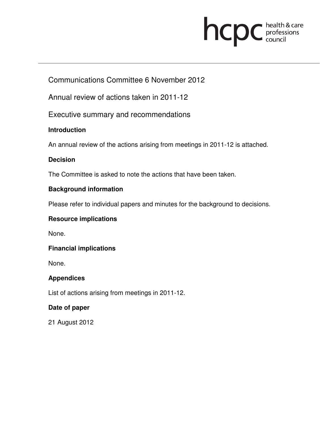# **health & care**

Communications Committee 6 November 2012

Annual review of actions taken in 2011-12

Executive summary and recommendations

## **Introduction**

An annual review of the actions arising from meetings in 2011-12 is attached.

## **Decision**

The Committee is asked to note the actions that have been taken.

#### **Background information**

Please refer to individual papers and minutes for the background to decisions.

#### **Resource implications**

None.

#### **Financial implications**

None.

#### **Appendices**

List of actions arising from meetings in 2011-12.

#### **Date of paper**

21 August 2012